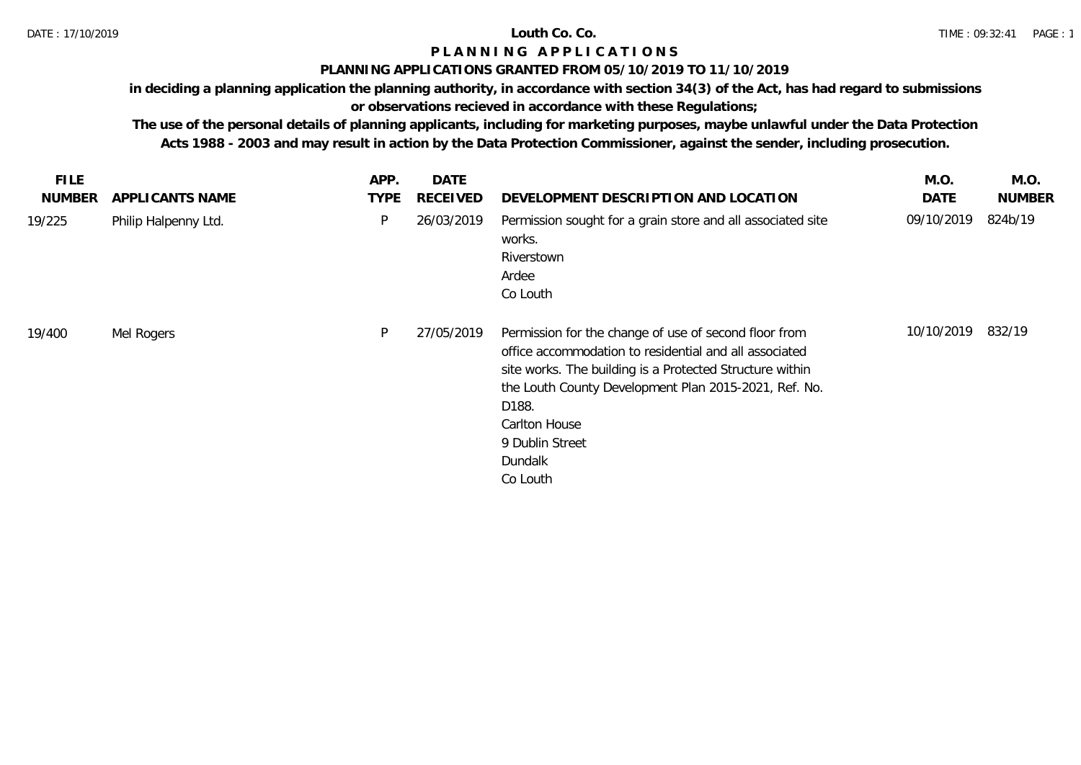## **PLANNING APPLICATIONS GRANTED FROM 05/10/2019 TO 11/10/2019**

**in deciding a planning application the planning authority, in accordance with section 34(3) of the Act, has had regard to submissions** 

# **or observations recieved in accordance with these Regulations;**

| <b>FILE</b>   |                      | APP.        | DATE            |                                                                                                                                                                                                                                                                                                          | M.O.        | M.O.          |
|---------------|----------------------|-------------|-----------------|----------------------------------------------------------------------------------------------------------------------------------------------------------------------------------------------------------------------------------------------------------------------------------------------------------|-------------|---------------|
| <b>NUMBER</b> | APPLICANTS NAME      | <b>TYPE</b> | <b>RECEIVED</b> | DEVELOPMENT DESCRIPTION AND LOCATION                                                                                                                                                                                                                                                                     | <b>DATE</b> | <b>NUMBER</b> |
| 19/225        | Philip Halpenny Ltd. | P           | 26/03/2019      | Permission sought for a grain store and all associated site<br>works.<br>Riverstown<br>Ardee<br>Co Louth                                                                                                                                                                                                 | 09/10/2019  | 824b/19       |
| 19/400        | Mel Rogers           | P           | 27/05/2019      | Permission for the change of use of second floor from<br>office accommodation to residential and all associated<br>site works. The building is a Protected Structure within<br>the Louth County Development Plan 2015-2021, Ref. No.<br>D188.<br>Carlton House<br>9 Dublin Street<br>Dundalk<br>Co Louth | 10/10/2019  | 832/19        |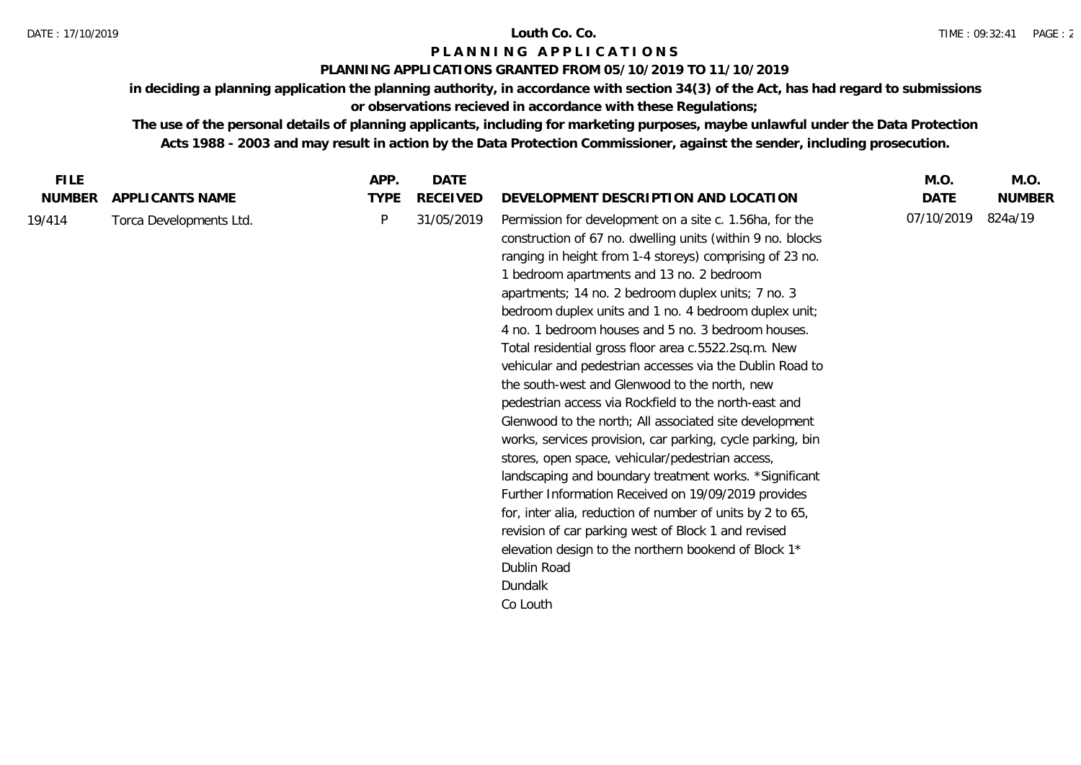## **PLANNING APPLICATIONS GRANTED FROM 05/10/2019 TO 11/10/2019**

**in deciding a planning application the planning authority, in accordance with section 34(3) of the Act, has had regard to submissions or observations recieved in accordance with these Regulations;**

| <b>FILE</b>   |                         | APP.        | DATE       |                                                                                                                                                                                                                                                                                                                                                                                                                                                                                                                                                                                                                                                                                                                                                                                                                                                                                                                                                                                                                                                                                                                                                  | M.O.       | M.O.          |
|---------------|-------------------------|-------------|------------|--------------------------------------------------------------------------------------------------------------------------------------------------------------------------------------------------------------------------------------------------------------------------------------------------------------------------------------------------------------------------------------------------------------------------------------------------------------------------------------------------------------------------------------------------------------------------------------------------------------------------------------------------------------------------------------------------------------------------------------------------------------------------------------------------------------------------------------------------------------------------------------------------------------------------------------------------------------------------------------------------------------------------------------------------------------------------------------------------------------------------------------------------|------------|---------------|
| <b>NUMBER</b> | APPLICANTS NAME         | <b>TYPE</b> | RECEIVED   | DEVELOPMENT DESCRIPTION AND LOCATION                                                                                                                                                                                                                                                                                                                                                                                                                                                                                                                                                                                                                                                                                                                                                                                                                                                                                                                                                                                                                                                                                                             | DATE       | <b>NUMBER</b> |
| 19/414        | Torca Developments Ltd. | P           | 31/05/2019 | Permission for development on a site c. 1.56ha, for the<br>construction of 67 no. dwelling units (within 9 no. blocks<br>ranging in height from 1-4 storeys) comprising of 23 no.<br>1 bedroom apartments and 13 no. 2 bedroom<br>apartments; 14 no. 2 bedroom duplex units; 7 no. 3<br>bedroom duplex units and 1 no. 4 bedroom duplex unit;<br>4 no. 1 bedroom houses and 5 no. 3 bedroom houses.<br>Total residential gross floor area c.5522.2sq.m. New<br>vehicular and pedestrian accesses via the Dublin Road to<br>the south-west and Glenwood to the north, new<br>pedestrian access via Rockfield to the north-east and<br>Glenwood to the north; All associated site development<br>works, services provision, car parking, cycle parking, bin<br>stores, open space, vehicular/pedestrian access,<br>landscaping and boundary treatment works. *Significant<br>Further Information Received on 19/09/2019 provides<br>for, inter alia, reduction of number of units by 2 to 65,<br>revision of car parking west of Block 1 and revised<br>elevation design to the northern bookend of Block 1*<br>Dublin Road<br>Dundalk<br>Co Louth | 07/10/2019 | 824a/19       |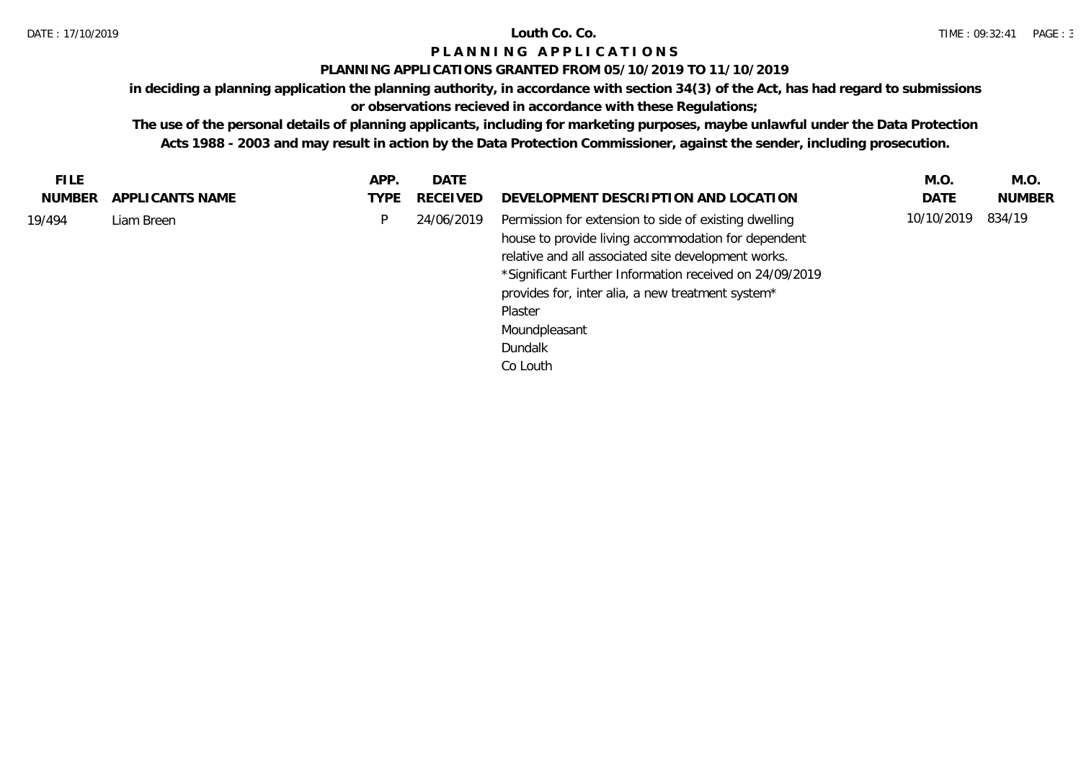## **PLANNING APPLICATIONS GRANTED FROM 05/10/2019 TO 11/10/2019**

**in deciding a planning application the planning authority, in accordance with section 34(3) of the Act, has had regard to submissions** 

# **or observations recieved in accordance with these Regulations;**

| APPLICANTS NAME<br>DEVELOPMENT DESCRIPTION AND LOCATION<br>DATE<br><b>NUMBER</b><br>NUMBER<br>RECEIVED<br>TYPE<br>10/10/2019<br>834/19<br>Permission for extension to side of existing dwelling<br>P<br>19/494<br>24/06/2019<br>Liam Breen<br>house to provide living accommodation for dependent<br>relative and all associated site development works.<br>*Significant Further Information received on 24/09/2019<br>provides for, inter alia, a new treatment system*<br>Plaster<br>Moundpleasant<br>Dundalk | <b>FILE</b> | APP. | DATE | M.O. | M.O. |
|-----------------------------------------------------------------------------------------------------------------------------------------------------------------------------------------------------------------------------------------------------------------------------------------------------------------------------------------------------------------------------------------------------------------------------------------------------------------------------------------------------------------|-------------|------|------|------|------|
|                                                                                                                                                                                                                                                                                                                                                                                                                                                                                                                 |             |      |      |      |      |
| Co Louth                                                                                                                                                                                                                                                                                                                                                                                                                                                                                                        |             |      |      |      |      |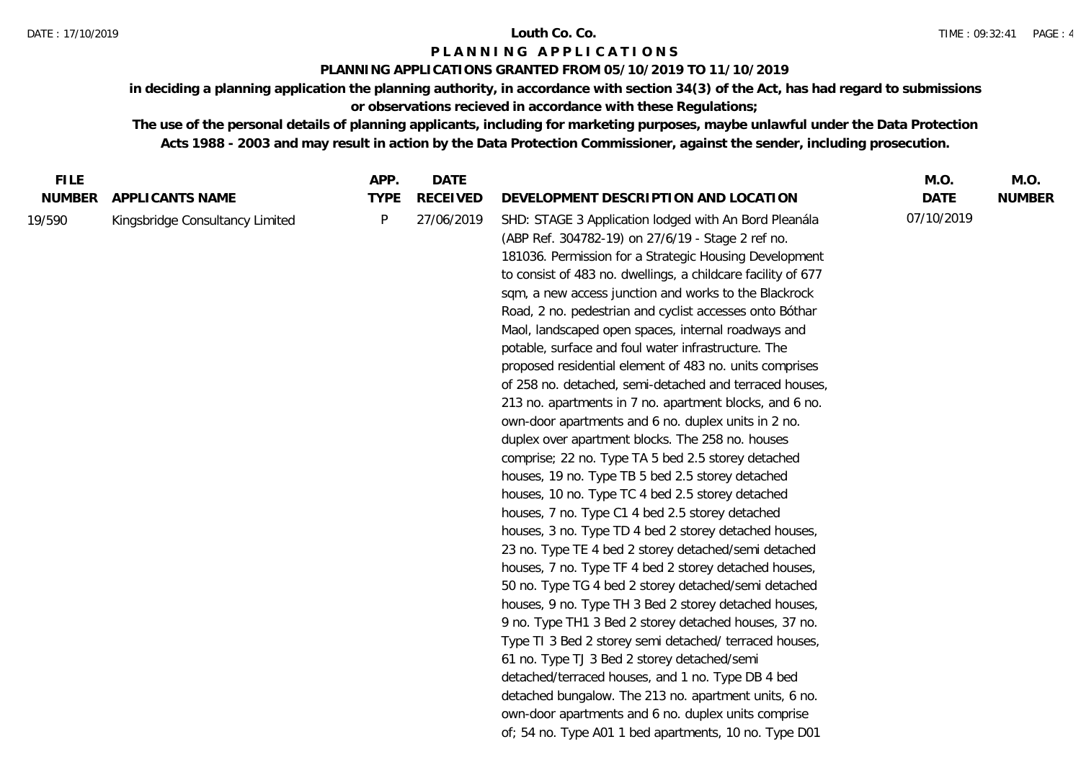## **PLANNING APPLICATIONS GRANTED FROM 05/10/2019 TO 11/10/2019**

**in deciding a planning application the planning authority, in accordance with section 34(3) of the Act, has had regard to submissions or observations recieved in accordance with these Regulations;**

| <b>NUMBER</b><br><b>TYPE</b><br><b>RECEIVED</b><br>DEVELOPMENT DESCRIPTION AND LOCATION<br><b>DATE</b><br>APPLI CANTS NAME                                                                                                                                                                                                                                                                                                                                                                                                                                                                                                                                                                                                                                                                                                                                                                                                                                                                                                                                                                                                                                                                                                                                                                                                                                                                                                                                                                                                                                                                                                                                                                                                                                   | <b>NUMBER</b> |
|--------------------------------------------------------------------------------------------------------------------------------------------------------------------------------------------------------------------------------------------------------------------------------------------------------------------------------------------------------------------------------------------------------------------------------------------------------------------------------------------------------------------------------------------------------------------------------------------------------------------------------------------------------------------------------------------------------------------------------------------------------------------------------------------------------------------------------------------------------------------------------------------------------------------------------------------------------------------------------------------------------------------------------------------------------------------------------------------------------------------------------------------------------------------------------------------------------------------------------------------------------------------------------------------------------------------------------------------------------------------------------------------------------------------------------------------------------------------------------------------------------------------------------------------------------------------------------------------------------------------------------------------------------------------------------------------------------------------------------------------------------------|---------------|
|                                                                                                                                                                                                                                                                                                                                                                                                                                                                                                                                                                                                                                                                                                                                                                                                                                                                                                                                                                                                                                                                                                                                                                                                                                                                                                                                                                                                                                                                                                                                                                                                                                                                                                                                                              |               |
| 07/10/2019<br>P<br>27/06/2019<br>SHD: STAGE 3 Application lodged with An Bord Pleanála<br>19/590<br>Kingsbridge Consultancy Limited<br>(ABP Ref. 304782-19) on 27/6/19 - Stage 2 ref no.<br>181036. Permission for a Strategic Housing Development<br>to consist of 483 no. dwellings, a childcare facility of 677<br>sqm, a new access junction and works to the Blackrock<br>Road, 2 no. pedestrian and cyclist accesses onto Bóthar<br>Maol, landscaped open spaces, internal roadways and<br>potable, surface and foul water infrastructure. The<br>proposed residential element of 483 no. units comprises<br>of 258 no. detached, semi-detached and terraced houses,<br>213 no. apartments in 7 no. apartment blocks, and 6 no.<br>own-door apartments and 6 no. duplex units in 2 no.<br>duplex over apartment blocks. The 258 no. houses<br>comprise; 22 no. Type TA 5 bed 2.5 storey detached<br>houses, 19 no. Type TB 5 bed 2.5 storey detached<br>houses, 10 no. Type TC 4 bed 2.5 storey detached<br>houses, 7 no. Type C1 4 bed 2.5 storey detached<br>houses, 3 no. Type TD 4 bed 2 storey detached houses,<br>23 no. Type TE 4 bed 2 storey detached/semi detached<br>houses, 7 no. Type TF 4 bed 2 storey detached houses,<br>50 no. Type TG 4 bed 2 storey detached/semi detached<br>houses, 9 no. Type TH 3 Bed 2 storey detached houses,<br>9 no. Type TH1 3 Bed 2 storey detached houses, 37 no.<br>Type TI 3 Bed 2 storey semi detached/ terraced houses,<br>61 no. Type TJ 3 Bed 2 storey detached/semi<br>detached/terraced houses, and 1 no. Type DB 4 bed<br>detached bungalow. The 213 no. apartment units, 6 no.<br>own-door apartments and 6 no. duplex units comprise<br>of; 54 no. Type A01 1 bed apartments, 10 no. Type D01 |               |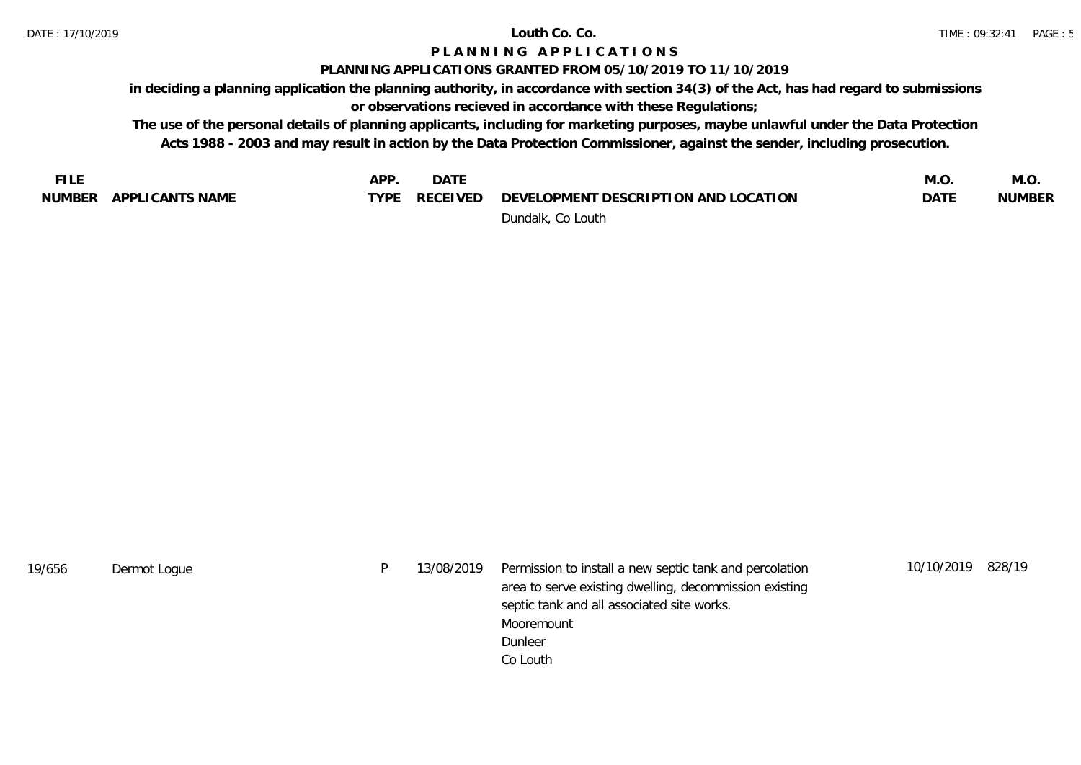## **PLANNING APPLICATIONS GRANTED FROM 05/10/2019 TO 11/10/2019**

**in deciding a planning application the planning authority, in accordance with section 34(3) of the Act, has had regard to submissions or observations recieved in accordance with these Regulations;**

| <b>FILE</b> |                 | APP         | <b>DATE</b> |                                      | M.O. | M.O           |
|-------------|-----------------|-------------|-------------|--------------------------------------|------|---------------|
| NUMBER      | APPLICANTS NAME | <b>TVPF</b> | RECEIVED    | DEVELOPMENT DESCRIPTION AND LOCATION | DATE | <b>NUMBER</b> |
|             |                 |             |             | Dundalk, Co Louth                    |      |               |

| 19/656 | Dermot Logue | 13/08/2019 | Permission to install a new septic tank and percolation<br>area to serve existing dwelling, decommission existing | 10/10/2019 | 828/19 |
|--------|--------------|------------|-------------------------------------------------------------------------------------------------------------------|------------|--------|
|        |              |            | septic tank and all associated site works.                                                                        |            |        |
|        |              |            | Mooremount                                                                                                        |            |        |
|        |              |            | Dunleer                                                                                                           |            |        |
|        |              |            | Co Louth                                                                                                          |            |        |
|        |              |            |                                                                                                                   |            |        |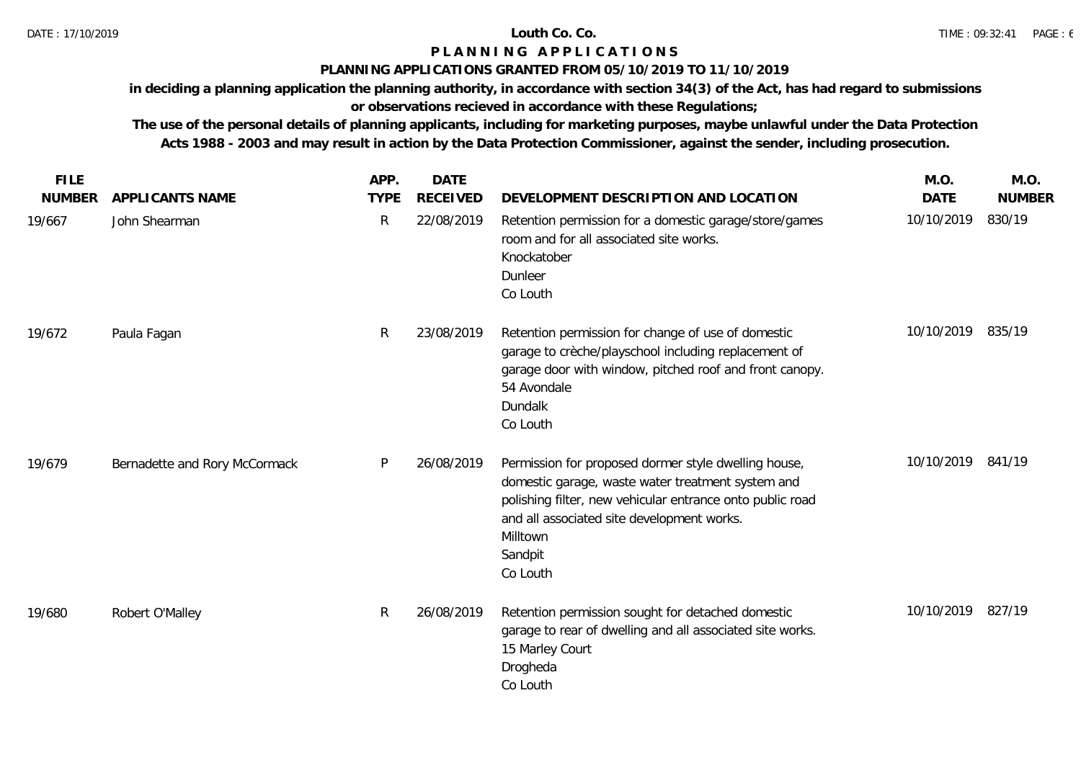### **PLANNING APPLICATIONS GRANTED FROM 05/10/2019 TO 11/10/2019**

**in deciding a planning application the planning authority, in accordance with section 34(3) of the Act, has had regard to submissions** 

**or observations recieved in accordance with these Regulations;**

| <b>FILE</b>   |                               | APP.         | <b>DATE</b>     |                                                                                                                                                                                                                                                         | M.O.              | M.O.          |
|---------------|-------------------------------|--------------|-----------------|---------------------------------------------------------------------------------------------------------------------------------------------------------------------------------------------------------------------------------------------------------|-------------------|---------------|
| <b>NUMBER</b> | APPLICANTS NAME               | <b>TYPE</b>  | <b>RECEIVED</b> | DEVELOPMENT DESCRIPTION AND LOCATION                                                                                                                                                                                                                    | <b>DATE</b>       | <b>NUMBER</b> |
| 19/667        | John Shearman                 | $\mathsf{R}$ | 22/08/2019      | Retention permission for a domestic garage/store/games<br>room and for all associated site works.<br>Knockatober<br>Dunleer<br>Co Louth                                                                                                                 | 10/10/2019        | 830/19        |
| 19/672        | Paula Fagan                   | $\mathsf{R}$ | 23/08/2019      | Retention permission for change of use of domestic<br>garage to creche/playschool including replacement of<br>garage door with window, pitched roof and front canopy.<br>54 Avondale<br>Dundalk<br>Co Louth                                             | 10/10/2019        | 835/19        |
| 19/679        | Bernadette and Rory McCormack | P            | 26/08/2019      | Permission for proposed dormer style dwelling house,<br>domestic garage, waste water treatment system and<br>polishing filter, new vehicular entrance onto public road<br>and all associated site development works.<br>Milltown<br>Sandpit<br>Co Louth | 10/10/2019 841/19 |               |
| 19/680        | Robert O'Malley               | $\mathsf{R}$ | 26/08/2019      | Retention permission sought for detached domestic<br>garage to rear of dwelling and all associated site works.<br>15 Marley Court<br>Drogheda<br>Co Louth                                                                                               | 10/10/2019 827/19 |               |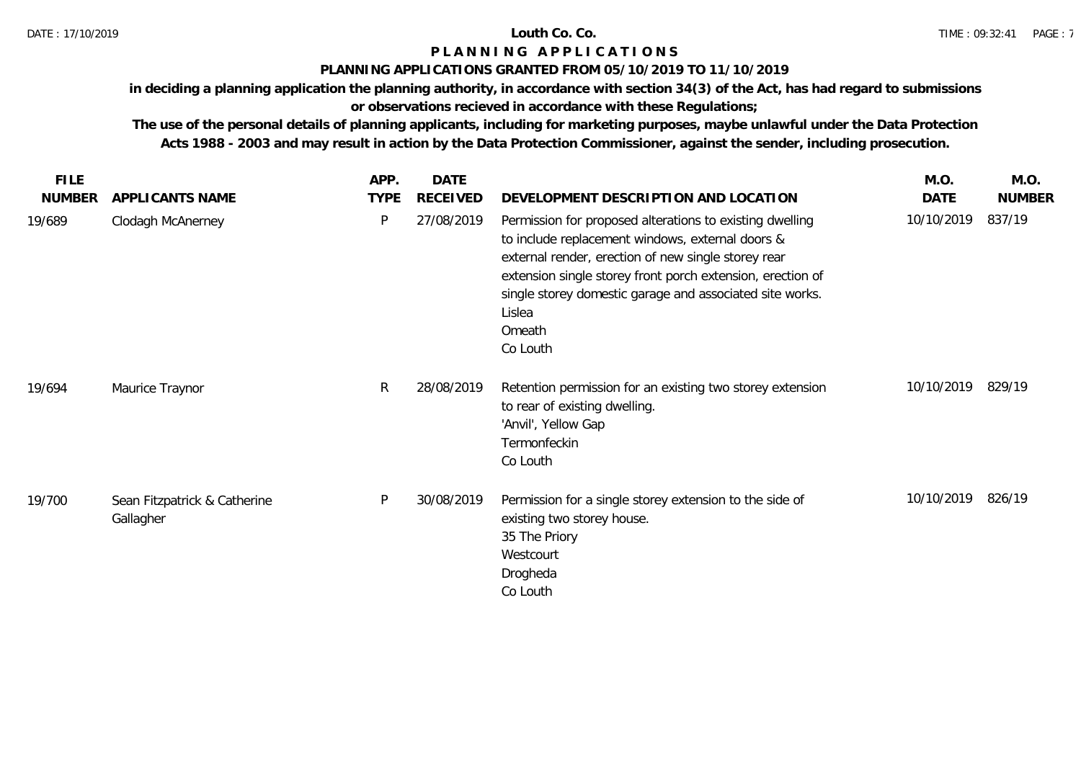## **PLANNING APPLICATIONS GRANTED FROM 05/10/2019 TO 11/10/2019**

**in deciding a planning application the planning authority, in accordance with section 34(3) of the Act, has had regard to submissions** 

# **or observations recieved in accordance with these Regulations;**

| <b>FILE</b>   |                                           | APP.        | DATE            |                                                                                                                                                                                                                                                                                                                               | M.O.       | M.O.          |
|---------------|-------------------------------------------|-------------|-----------------|-------------------------------------------------------------------------------------------------------------------------------------------------------------------------------------------------------------------------------------------------------------------------------------------------------------------------------|------------|---------------|
| <b>NUMBER</b> | APPLICANTS NAME                           | <b>TYPE</b> | <b>RECEIVED</b> | DEVELOPMENT DESCRIPTION AND LOCATION                                                                                                                                                                                                                                                                                          | DATE       | <b>NUMBER</b> |
| 19/689        | Clodagh McAnerney                         | P           | 27/08/2019      | Permission for proposed alterations to existing dwelling<br>to include replacement windows, external doors &<br>external render, erection of new single storey rear<br>extension single storey front porch extension, erection of<br>single storey domestic garage and associated site works.<br>Lislea<br>Omeath<br>Co Louth | 10/10/2019 | 837/19        |
| 19/694        | Maurice Traynor                           | R           | 28/08/2019      | Retention permission for an existing two storey extension<br>to rear of existing dwelling.<br>'Anvil', Yellow Gap<br>Termonfeckin<br>Co Louth                                                                                                                                                                                 | 10/10/2019 | 829/19        |
| 19/700        | Sean Fitzpatrick & Catherine<br>Gallagher | P           | 30/08/2019      | Permission for a single storey extension to the side of<br>existing two storey house.<br>35 The Priory<br>Westcourt<br>Drogheda<br>Co Louth                                                                                                                                                                                   | 10/10/2019 | 826/19        |